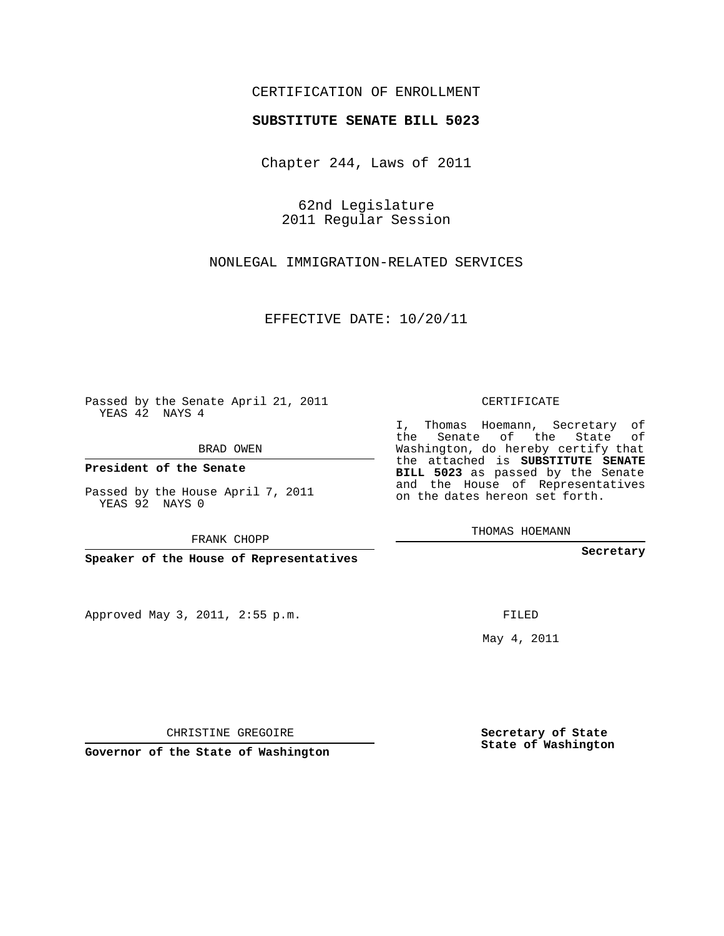# CERTIFICATION OF ENROLLMENT

#### **SUBSTITUTE SENATE BILL 5023**

Chapter 244, Laws of 2011

62nd Legislature 2011 Regular Session

NONLEGAL IMMIGRATION-RELATED SERVICES

EFFECTIVE DATE: 10/20/11

**Contract Contract** 

Passed by the Senate April 21, 2011 YEAS 42 NAYS 4

BRAD OWEN

**President of the Senate**

Passed by the House April 7, 2011 YEAS 92 NAYS 0

FRANK CHOPP

**Speaker of the House of Representatives**

Approved May 3, 2011, 2:55 p.m.

### CERTIFICATE

I, Thomas Hoemann, Secretary of the Senate of the State of Washington, do hereby certify that the attached is **SUBSTITUTE SENATE BILL 5023** as passed by the Senate and the House of Representatives on the dates hereon set forth.

THOMAS HOEMANN

**Secretary**

FILED

May 4, 2011

**Secretary of State State of Washington**

CHRISTINE GREGOIRE

**Governor of the State of Washington**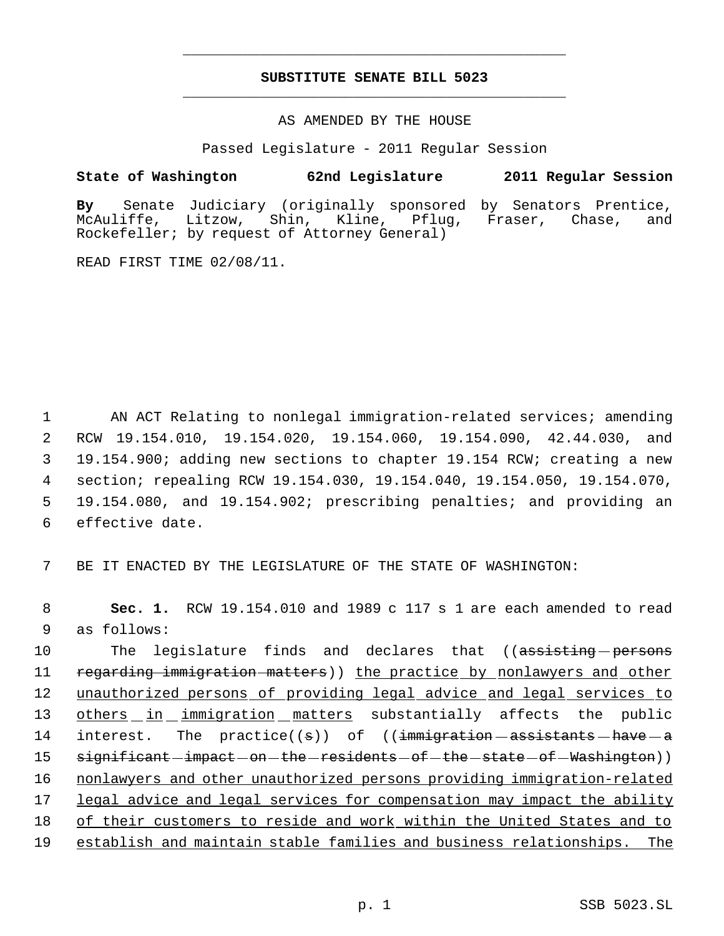# **SUBSTITUTE SENATE BILL 5023** \_\_\_\_\_\_\_\_\_\_\_\_\_\_\_\_\_\_\_\_\_\_\_\_\_\_\_\_\_\_\_\_\_\_\_\_\_\_\_\_\_\_\_\_\_

\_\_\_\_\_\_\_\_\_\_\_\_\_\_\_\_\_\_\_\_\_\_\_\_\_\_\_\_\_\_\_\_\_\_\_\_\_\_\_\_\_\_\_\_\_

AS AMENDED BY THE HOUSE

Passed Legislature - 2011 Regular Session

## **State of Washington 62nd Legislature 2011 Regular Session**

**By** Senate Judiciary (originally sponsored by Senators Prentice, Litzow, Shin, Kline, Pflug, Fraser, Chase, and Rockefeller; by request of Attorney General)

READ FIRST TIME 02/08/11.

 AN ACT Relating to nonlegal immigration-related services; amending RCW 19.154.010, 19.154.020, 19.154.060, 19.154.090, 42.44.030, and 19.154.900; adding new sections to chapter 19.154 RCW; creating a new section; repealing RCW 19.154.030, 19.154.040, 19.154.050, 19.154.070, 19.154.080, and 19.154.902; prescribing penalties; and providing an effective date.

7 BE IT ENACTED BY THE LEGISLATURE OF THE STATE OF WASHINGTON:

 8 **Sec. 1.** RCW 19.154.010 and 1989 c 117 s 1 are each amended to read 9 as follows:

10 The legislature finds and declares that ((assisting persons 11 regarding immigration matters)) the practice by nonlawyers and other 12 unauthorized persons of providing legal advice and legal services to 13 others in immigration matters substantially affects the public 14 interest. The practice((s)) of ((immigration assistants have a 15 s<del>ignificant impact on the residents of the state of Washington</del>)) 16 nonlawyers and other unauthorized persons providing immigration-related 17 legal advice and legal services for compensation may impact the ability 18 of their customers to reside and work within the United States and to 19 establish and maintain stable families and business relationships. The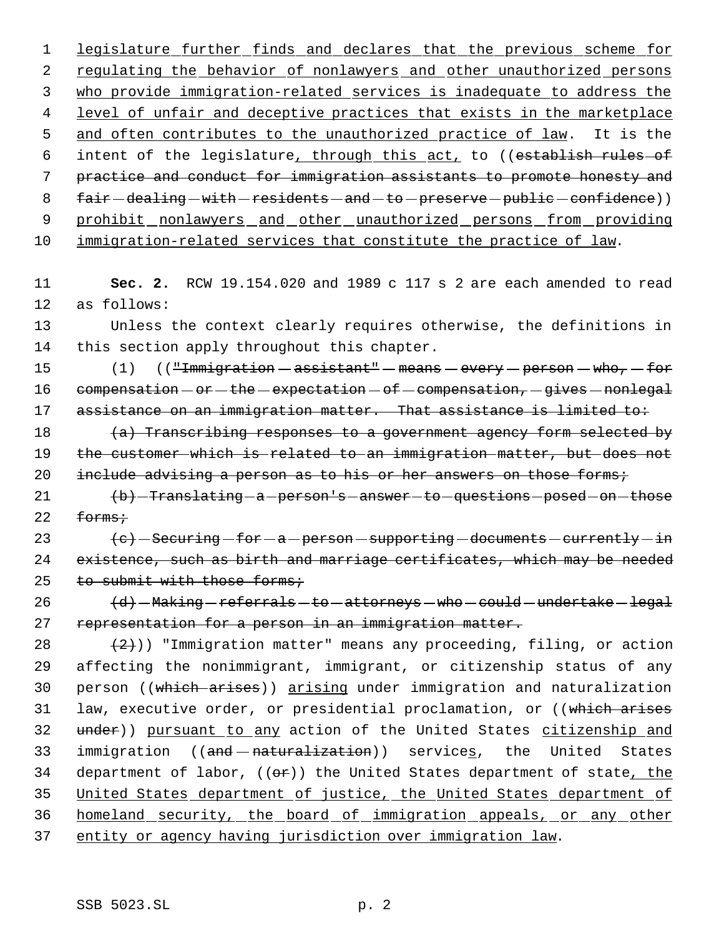1 legislature further finds and declares that the previous scheme for 2 regulating the behavior of nonlawyers and other unauthorized persons 3 who provide immigration-related services is inadequate to address the 4 level of unfair and deceptive practices that exists in the marketplace 5 and often contributes to the unauthorized practice of law. It is the 6 intent of the legislature, through this act, to ((establish rules of 7 practice and conduct for immigration assistants to promote honesty and 8 fair-dealing-with-residents-and-to-preserve-public-confidence)) 9 prohibit nonlawyers and other unauthorized persons from providing 10 immigration-related services that constitute the practice of law.

11 **Sec. 2.** RCW 19.154.020 and 1989 c 117 s 2 are each amended to read 12 as follows:

13 Unless the context clearly requires otherwise, the definitions in 14 this section apply throughout this chapter.

15 (1) ((<del>"Immigration assistant" - means - every - person - who, - for</del> 16 compensation  $-$  or  $-$  the  $-$  expectation  $-$  of  $-$  compensation,  $-$  gives  $-$  nonlegal 17 assistance on an immigration matter. That assistance is limited to:

18  $(a)$  Transcribing responses to a government agency form selected by 19 the customer which is related to an immigration matter, but does not 20 include advising a person as to his or her answers on those forms;

21 (b) Translating - a person's - answer - to - questions - posed - on - those  $22$  forms;

23  $\left\{e\right\}$  - Securing - for - a - person - supporting - documents - currently - in 24 existence, such as birth and marriage certificates, which may be needed 25 to submit with those forms;

 $26$   $\left\{\frac{d}{d}\right\}$  - Making - referrals - to - attorneys - who - could - undertake - legal 27 representation for a person in an immigration matter.

28  $(2)$ )) "Immigration matter" means any proceeding, filing, or action 29 affecting the nonimmigrant, immigrant, or citizenship status of any 30 person ((which arises)) arising under immigration and naturalization 31 law, executive order, or presidential proclamation, or ((which arises 32 under)) pursuant to any action of the United States citizenship and 33 immigration ((and - naturalization)) services, the United States 34 department of labor,  $((e^*)$ ) the United States department of state, the 35 United States department of justice, the United States department of 36 homeland security, the board of immigration appeals, or any other 37 entity or agency having jurisdiction over immigration law.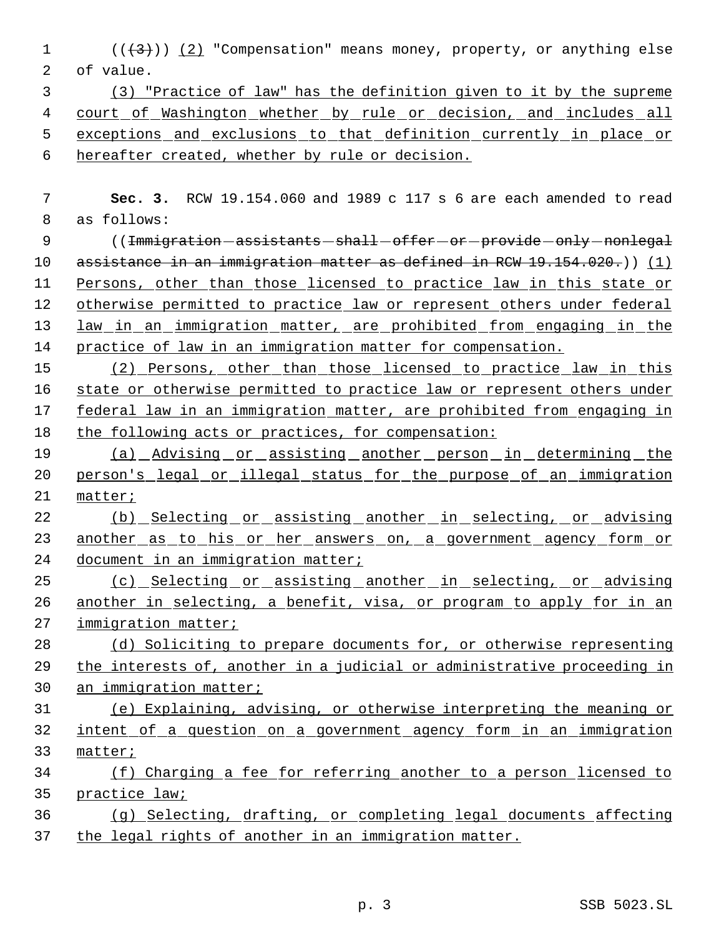1  $((+3))$   $(2)$  "Compensation" means money, property, or anything else of value.

 (3) "Practice of law" has the definition given to it by the supreme court of Washington whether by rule or decision, and includes all exceptions and exclusions to that definition currently in place or hereafter created, whether by rule or decision.

 **Sec. 3.** RCW 19.154.060 and 1989 c 117 s 6 are each amended to read as follows:

9 ((<del>Immigration assistants shall offer or provide only nonlegal</del> 10 assistance in an immigration matter as defined in RCW 19.154.020.)) (1) Persons, other than those licensed to practice law in this state or 12 otherwise permitted to practice law or represent others under federal law in an immigration matter, are prohibited from engaging in the 14 practice of law in an immigration matter for compensation.

 (2) Persons, other than those licensed to practice law in this 16 state or otherwise permitted to practice law or represent others under federal law in an immigration matter, are prohibited from engaging in the following acts or practices, for compensation:

 (a) Advising or assisting another person in determining the person's legal or illegal status for the purpose of an immigration matter;

22 (b) Selecting or assisting another in selecting, or advising 23 another as to his or her answers on, a government agency form or 24 document in an immigration matter;

25 (c) Selecting or assisting another in selecting, or advising 26 another in selecting, a benefit, visa, or program to apply for in an 27 immigration matter;

 (d) Soliciting to prepare documents for, or otherwise representing the interests of, another in a judicial or administrative proceeding in an immigration matter;

 (e) Explaining, advising, or otherwise interpreting the meaning or intent of a question on a government agency form in an immigration matter;

- (f) Charging a fee for referring another to a person licensed to practice law;
- (g) Selecting, drafting, or completing legal documents affecting the legal rights of another in an immigration matter.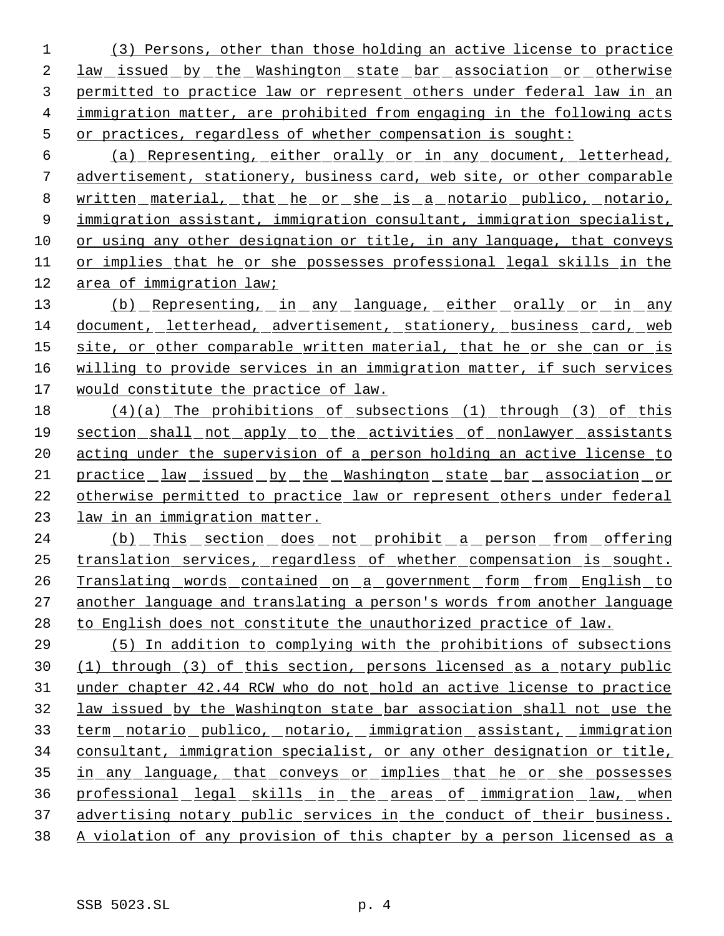(3) Persons, other than those holding an active license to practice 2 law issued by the Washington state bar association or otherwise permitted to practice law or represent others under federal law in an immigration matter, are prohibited from engaging in the following acts or practices, regardless of whether compensation is sought:

 (a) Representing, either orally or in any document, letterhead, advertisement, stationery, business card, web site, or other comparable written material, that he or she is a notario publico, notario, immigration assistant, immigration consultant, immigration specialist, or using any other designation or title, in any language, that conveys or implies that he or she possesses professional legal skills in the area of immigration law;

13 (b) Representing, in any language, either orally or in any document, letterhead, advertisement, stationery, business card, web 15 site, or other comparable written material, that he or she can or is willing to provide services in an immigration matter, if such services would constitute the practice of law.

 (4)(a) The prohibitions of subsections (1) through (3) of this section shall not apply to the activities of nonlawyer assistants acting under the supervision of a person holding an active license to practice law issued by the Washington state bar association or otherwise permitted to practice law or represent others under federal law in an immigration matter.

24 (b) This section does not prohibit a person from offering translation services, regardless of whether compensation is sought. Translating words contained on a government form from English to another language and translating a person's words from another language to English does not constitute the unauthorized practice of law.

 (5) In addition to complying with the prohibitions of subsections (1) through (3) of this section, persons licensed as a notary public under chapter 42.44 RCW who do not hold an active license to practice law issued by the Washington state bar association shall not use the term notario publico, notario, immigration assistant, immigration consultant, immigration specialist, or any other designation or title, in any language, that conveys or implies that he or she possesses professional legal skills in the areas of immigration law, when 37 advertising notary public services in the conduct of their business. A violation of any provision of this chapter by a person licensed as a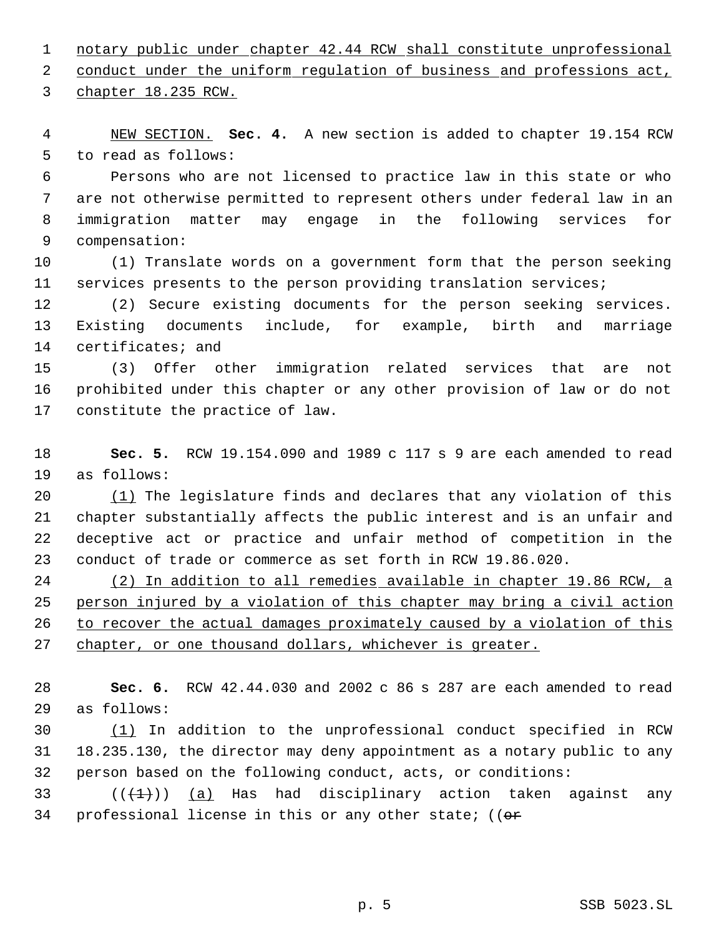notary public under chapter 42.44 RCW shall constitute unprofessional

2 conduct under the uniform regulation of business and professions act,

chapter 18.235 RCW.

 NEW SECTION. **Sec. 4.** A new section is added to chapter 19.154 RCW to read as follows:

 Persons who are not licensed to practice law in this state or who are not otherwise permitted to represent others under federal law in an immigration matter may engage in the following services for compensation:

 (1) Translate words on a government form that the person seeking services presents to the person providing translation services;

 (2) Secure existing documents for the person seeking services. Existing documents include, for example, birth and marriage certificates; and

 (3) Offer other immigration related services that are not prohibited under this chapter or any other provision of law or do not constitute the practice of law.

 **Sec. 5.** RCW 19.154.090 and 1989 c 117 s 9 are each amended to read as follows:

 (1) The legislature finds and declares that any violation of this chapter substantially affects the public interest and is an unfair and deceptive act or practice and unfair method of competition in the conduct of trade or commerce as set forth in RCW 19.86.020.

 (2) In addition to all remedies available in chapter 19.86 RCW, a person injured by a violation of this chapter may bring a civil action 26 to recover the actual damages proximately caused by a violation of this 27 chapter, or one thousand dollars, whichever is greater.

 **Sec. 6.** RCW 42.44.030 and 2002 c 86 s 287 are each amended to read as follows:

 (1) In addition to the unprofessional conduct specified in RCW 18.235.130, the director may deny appointment as a notary public to any person based on the following conduct, acts, or conditions:

33 ( $(\overline{+1})$ ) (a) Has had disciplinary action taken against any 34 professional license in this or any other state; (( $\theta$ r)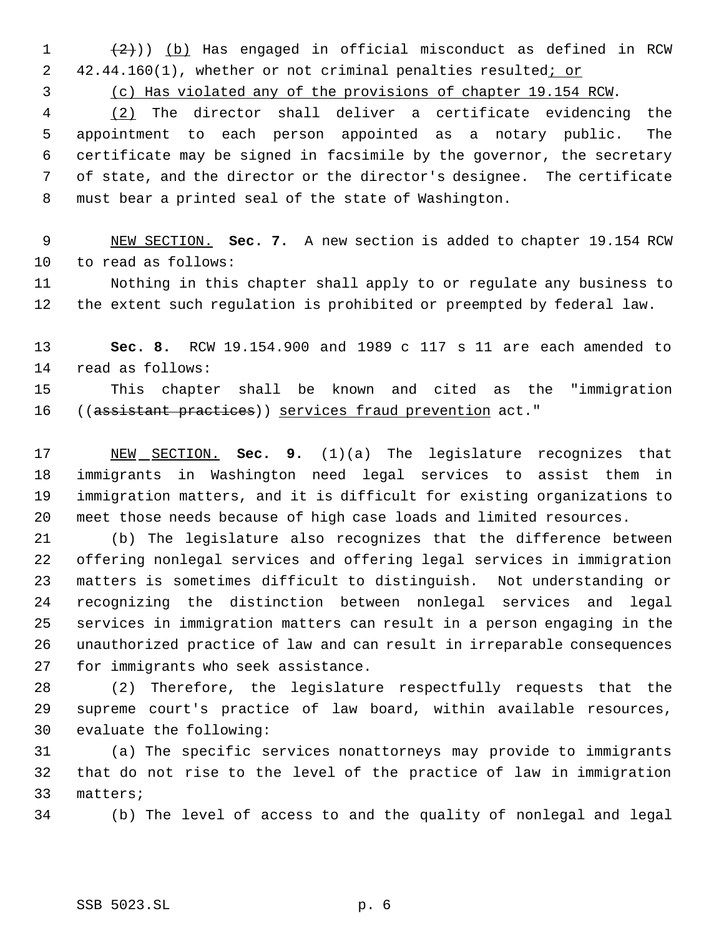$(2)$ )) (b) Has engaged in official misconduct as defined in RCW 2 42.44.160(1), whether or not criminal penalties resulted; or

(c) Has violated any of the provisions of chapter 19.154 RCW.

 (2) The director shall deliver a certificate evidencing the appointment to each person appointed as a notary public. The certificate may be signed in facsimile by the governor, the secretary of state, and the director or the director's designee. The certificate must bear a printed seal of the state of Washington.

 NEW SECTION. **Sec. 7.** A new section is added to chapter 19.154 RCW to read as follows:

 Nothing in this chapter shall apply to or regulate any business to the extent such regulation is prohibited or preempted by federal law.

 **Sec. 8.** RCW 19.154.900 and 1989 c 117 s 11 are each amended to read as follows:

 This chapter shall be known and cited as the "immigration ((assistant practices)) services fraud prevention act."

 NEW SECTION. **Sec. 9.** (1)(a) The legislature recognizes that immigrants in Washington need legal services to assist them in immigration matters, and it is difficult for existing organizations to meet those needs because of high case loads and limited resources.

 (b) The legislature also recognizes that the difference between offering nonlegal services and offering legal services in immigration matters is sometimes difficult to distinguish. Not understanding or recognizing the distinction between nonlegal services and legal services in immigration matters can result in a person engaging in the unauthorized practice of law and can result in irreparable consequences for immigrants who seek assistance.

 (2) Therefore, the legislature respectfully requests that the supreme court's practice of law board, within available resources, evaluate the following:

 (a) The specific services nonattorneys may provide to immigrants that do not rise to the level of the practice of law in immigration matters;

(b) The level of access to and the quality of nonlegal and legal